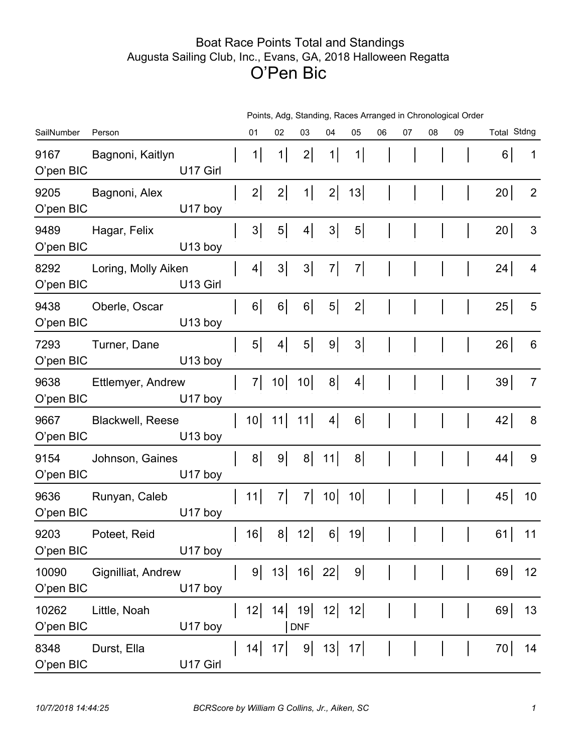## Boat Race Points Total and Standings Augusta Sailing Club, Inc., Evans, GA, 2018 Halloween Regatta O'Pen Bic

|                    |                         | Points, Adg, Standing, Races Arranged in Chronological Order |  |                 |          |                  |          |                |    |    |              |    |                    |                |
|--------------------|-------------------------|--------------------------------------------------------------|--|-----------------|----------|------------------|----------|----------------|----|----|--------------|----|--------------------|----------------|
| SailNumber         | Person                  |                                                              |  | 01              | 02       | 03               | 04       | 05             | 06 | 07 | 08           | 09 | <b>Total Stdng</b> |                |
| 9167<br>O'pen BIC  | Bagnoni, Kaitlyn        | U17 Girl                                                     |  | 1               | 1        | $2\vert$         | 1        | 1              |    |    |              |    | 6                  | 1              |
| 9205<br>O'pen BIC  | Bagnoni, Alex           | U17 boy                                                      |  | 2               | $2\vert$ | 1                | $2\vert$ | 13             |    |    |              |    | 20                 | $\overline{2}$ |
| 9489<br>O'pen BIC  | Hagar, Felix            | U13 boy                                                      |  | 3 <sup>1</sup>  | $5\vert$ | $\vert 4 \vert$  | $3\vert$ | $\overline{5}$ |    |    |              |    | 20                 | 3              |
| 8292<br>O'pen BIC  | Loring, Molly Aiken     | U13 Girl                                                     |  | $\vert 4 \vert$ | $3\vert$ | $3\vert$         | $7\vert$ | 7              |    |    |              |    | 24                 | 4              |
| 9438<br>O'pen BIC  | Oberle, Oscar           | U13 boy                                                      |  | $6\vert$        | $6\vert$ | $6\vert$         | $5\vert$ | 2              |    |    |              |    | 25                 | 5              |
| 7293<br>O'pen BIC  | Turner, Dane            | U13 boy                                                      |  | 5 <sup>1</sup>  | 4        | $5\vert$         | 9        | $3\vert$       |    |    |              |    | 26                 | 6              |
| 9638<br>O'pen BIC  | Ettlemyer, Andrew       | U17 boy                                                      |  | 7               | 10       | 10               | $8\vert$ | $4\vert$       |    |    |              |    | 39                 | $\overline{7}$ |
| 9667<br>O'pen BIC  | <b>Blackwell, Reese</b> | U13 boy                                                      |  | 10 <sup>1</sup> | 11       | 11               | 4        | $6\vert$       |    |    |              |    | 42                 | 8              |
| 9154<br>O'pen BIC  | Johnson, Gaines         | U17 boy                                                      |  | 8 <sup>1</sup>  | 9        | 8                | 11       | $8\vert$       |    |    |              |    | 44                 | 9              |
| 9636<br>O'pen BIC  | Runyan, Caleb           | U17 boy                                                      |  | 11              | 7        | 7                | 10       | 10             |    |    |              |    | 45                 | 10             |
| 9203<br>O'pen BIC  | Poteet, Reid            | U17 boy                                                      |  | 16              | $8\vert$ | 12               | $6\vert$ | 19             | Τ. | Τ. | $\mathbf{I}$ |    | 61                 | 11             |
| 10090<br>O'pen BIC | Gignilliat, Andrew      | U17 boy                                                      |  | 9               | 13       | 16               | 22       | $9\vert$       |    |    |              |    | 69                 | 12             |
| 10262<br>O'pen BIC | Little, Noah            | U17 boy                                                      |  | 12              | 4        | 19<br><b>DNF</b> | 12       | 12             |    |    |              |    | 69                 | 13             |
| 8348<br>O'pen BIC  | Durst, Ella             | U17 Girl                                                     |  | 14              | 17       | $9\vert$         | 13       | 17             |    |    |              |    | 70                 | 14             |